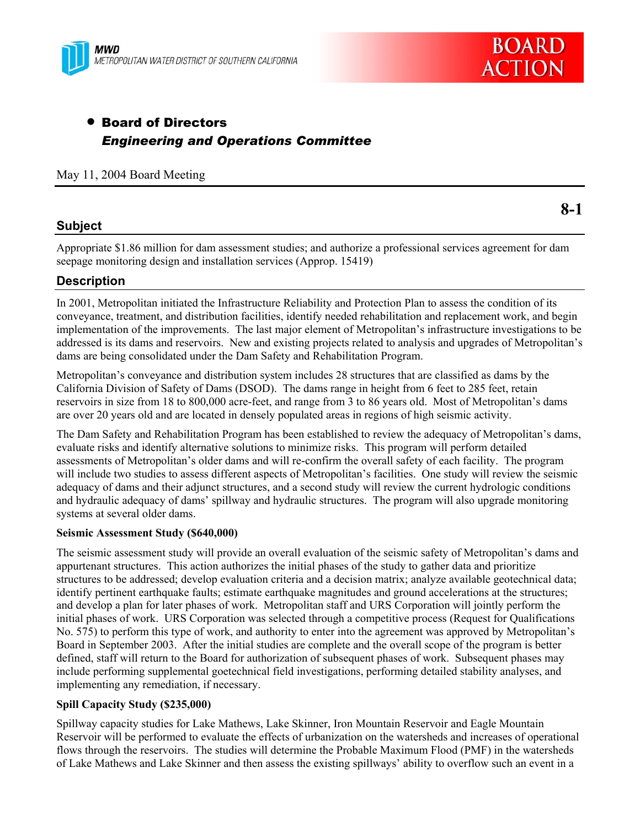



# • Board of Directors *Engineering and Operations Committee*

### May 11, 2004 Board Meeting

## **Subject**

Appropriate \$1.86 million for dam assessment studies; and authorize a professional services agreement for dam seepage monitoring design and installation services (Approp. 15419)

## **Description**

In 2001, Metropolitan initiated the Infrastructure Reliability and Protection Plan to assess the condition of its conveyance, treatment, and distribution facilities, identify needed rehabilitation and replacement work, and begin implementation of the improvements. The last major element of Metropolitan's infrastructure investigations to be addressed is its dams and reservoirs. New and existing projects related to analysis and upgrades of Metropolitan's dams are being consolidated under the Dam Safety and Rehabilitation Program.

Metropolitan's conveyance and distribution system includes 28 structures that are classified as dams by the California Division of Safety of Dams (DSOD). The dams range in height from 6 feet to 285 feet, retain reservoirs in size from 18 to 800,000 acre-feet, and range from 3 to 86 years old. Most of Metropolitan's dams are over 20 years old and are located in densely populated areas in regions of high seismic activity.

The Dam Safety and Rehabilitation Program has been established to review the adequacy of Metropolitan's dams, evaluate risks and identify alternative solutions to minimize risks. This program will perform detailed assessments of Metropolitan's older dams and will re-confirm the overall safety of each facility. The program will include two studies to assess different aspects of Metropolitan's facilities. One study will review the seismic adequacy of dams and their adjunct structures, and a second study will review the current hydrologic conditions and hydraulic adequacy of dams' spillway and hydraulic structures. The program will also upgrade monitoring systems at several older dams.

### **Seismic Assessment Study (\$640,000)**

The seismic assessment study will provide an overall evaluation of the seismic safety of Metropolitan's dams and appurtenant structures. This action authorizes the initial phases of the study to gather data and prioritize structures to be addressed; develop evaluation criteria and a decision matrix; analyze available geotechnical data; identify pertinent earthquake faults; estimate earthquake magnitudes and ground accelerations at the structures; and develop a plan for later phases of work. Metropolitan staff and URS Corporation will jointly perform the initial phases of work. URS Corporation was selected through a competitive process (Request for Qualifications No. 575) to perform this type of work, and authority to enter into the agreement was approved by Metropolitan's Board in September 2003. After the initial studies are complete and the overall scope of the program is better defined, staff will return to the Board for authorization of subsequent phases of work. Subsequent phases may include performing supplemental goetechnical field investigations, performing detailed stability analyses, and implementing any remediation, if necessary.

### **Spill Capacity Study (\$235,000)**

Spillway capacity studies for Lake Mathews, Lake Skinner, Iron Mountain Reservoir and Eagle Mountain Reservoir will be performed to evaluate the effects of urbanization on the watersheds and increases of operational flows through the reservoirs. The studies will determine the Probable Maximum Flood (PMF) in the watersheds of Lake Mathews and Lake Skinner and then assess the existing spillways' ability to overflow such an event in a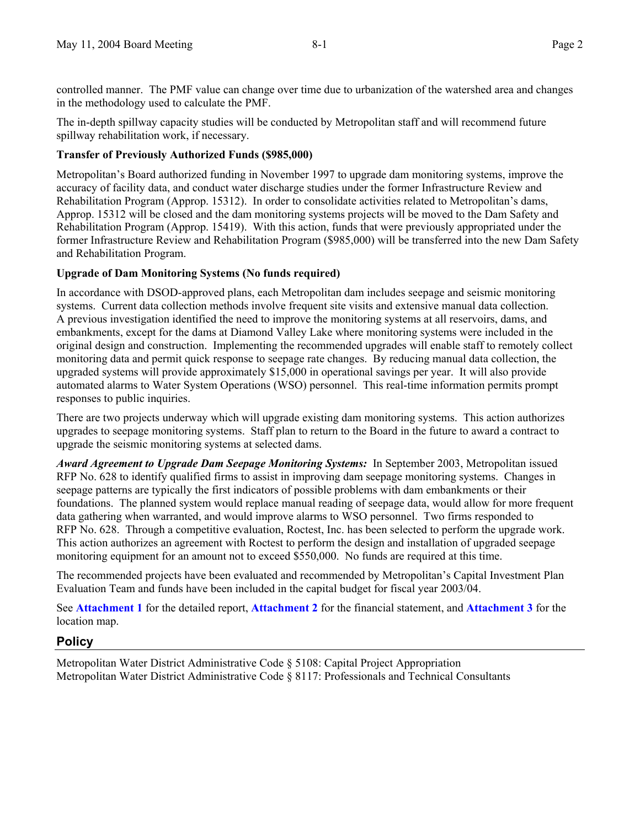controlled manner. The PMF value can change over time due to urbanization of the watershed area and changes in the methodology used to calculate the PMF.

The in-depth spillway capacity studies will be conducted by Metropolitan staff and will recommend future spillway rehabilitation work, if necessary.

## **Transfer of Previously Authorized Funds (\$985,000)**

Metropolitan's Board authorized funding in November 1997 to upgrade dam monitoring systems, improve the accuracy of facility data, and conduct water discharge studies under the former Infrastructure Review and Rehabilitation Program (Approp. 15312). In order to consolidate activities related to Metropolitan's dams, Approp. 15312 will be closed and the dam monitoring systems projects will be moved to the Dam Safety and Rehabilitation Program (Approp. 15419). With this action, funds that were previously appropriated under the former Infrastructure Review and Rehabilitation Program (\$985,000) will be transferred into the new Dam Safety and Rehabilitation Program.

### **Upgrade of Dam Monitoring Systems (No funds required)**

In accordance with DSOD-approved plans, each Metropolitan dam includes seepage and seismic monitoring systems. Current data collection methods involve frequent site visits and extensive manual data collection. A previous investigation identified the need to improve the monitoring systems at all reservoirs, dams, and embankments, except for the dams at Diamond Valley Lake where monitoring systems were included in the original design and construction. Implementing the recommended upgrades will enable staff to remotely collect monitoring data and permit quick response to seepage rate changes. By reducing manual data collection, the upgraded systems will provide approximately \$15,000 in operational savings per year. It will also provide automated alarms to Water System Operations (WSO) personnel. This real-time information permits prompt responses to public inquiries.

There are two projects underway which will upgrade existing dam monitoring systems. This action authorizes upgrades to seepage monitoring systems. Staff plan to return to the Board in the future to award a contract to upgrade the seismic monitoring systems at selected dams.

*Award Agreement to Upgrade Dam Seepage Monitoring Systems:* In September 2003, Metropolitan issued RFP No. 628 to identify qualified firms to assist in improving dam seepage monitoring systems. Changes in seepage patterns are typically the first indicators of possible problems with dam embankments or their foundations. The planned system would replace manual reading of seepage data, would allow for more frequent data gathering when warranted, and would improve alarms to WSO personnel. Two firms responded to RFP No. 628. Through a competitive evaluation, Roctest, Inc. has been selected to perform the upgrade work. This action authorizes an agreement with Roctest to perform the design and installation of upgraded seepage monitoring equipment for an amount not to exceed \$550,000. No funds are required at this time.

The recommended projects have been evaluated and recommended by Metropolitan's Capital Investment Plan Evaluation Team and funds have been included in the capital budget for fiscal year 2003/04.

See **Attachment 1** for the detailed report, **Attachment 2** for the financial statement, and **Attachment 3** for the location map.

# **Policy**

Metropolitan Water District Administrative Code § 5108: Capital Project Appropriation Metropolitan Water District Administrative Code § 8117: Professionals and Technical Consultants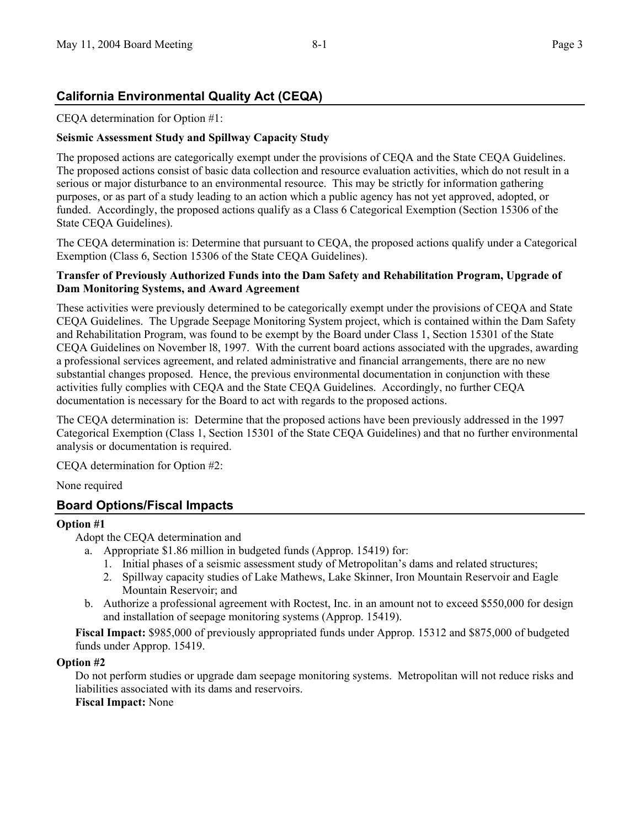# **California Environmental Quality Act (CEQA)**

CEQA determination for Option #1:

## **Seismic Assessment Study and Spillway Capacity Study**

The proposed actions are categorically exempt under the provisions of CEQA and the State CEQA Guidelines. The proposed actions consist of basic data collection and resource evaluation activities, which do not result in a serious or major disturbance to an environmental resource. This may be strictly for information gathering purposes, or as part of a study leading to an action which a public agency has not yet approved, adopted, or funded. Accordingly, the proposed actions qualify as a Class 6 Categorical Exemption (Section 15306 of the State CEQA Guidelines).

The CEQA determination is: Determine that pursuant to CEQA, the proposed actions qualify under a Categorical Exemption (Class 6, Section 15306 of the State CEQA Guidelines).

### **Transfer of Previously Authorized Funds into the Dam Safety and Rehabilitation Program, Upgrade of Dam Monitoring Systems, and Award Agreement**

These activities were previously determined to be categorically exempt under the provisions of CEQA and State CEQA Guidelines. The Upgrade Seepage Monitoring System project, which is contained within the Dam Safety and Rehabilitation Program, was found to be exempt by the Board under Class 1, Section 15301 of the State CEQA Guidelines on November l8, 1997. With the current board actions associated with the upgrades, awarding a professional services agreement, and related administrative and financial arrangements, there are no new substantial changes proposed. Hence, the previous environmental documentation in conjunction with these activities fully complies with CEQA and the State CEQA Guidelines. Accordingly, no further CEQA documentation is necessary for the Board to act with regards to the proposed actions.

The CEQA determination is: Determine that the proposed actions have been previously addressed in the 1997 Categorical Exemption (Class 1, Section 15301 of the State CEQA Guidelines) and that no further environmental analysis or documentation is required.

CEQA determination for Option #2:

None required

# **Board Options/Fiscal Impacts**

### **Option #1**

Adopt the CEQA determination and

- a. Appropriate \$1.86 million in budgeted funds (Approp. 15419) for:
	- 1. Initial phases of a seismic assessment study of Metropolitan's dams and related structures;
	- 2. Spillway capacity studies of Lake Mathews, Lake Skinner, Iron Mountain Reservoir and Eagle Mountain Reservoir; and
- b. Authorize a professional agreement with Roctest, Inc. in an amount not to exceed \$550,000 for design and installation of seepage monitoring systems (Approp. 15419).

**Fiscal Impact:** \$985,000 of previously appropriated funds under Approp. 15312 and \$875,000 of budgeted funds under Approp. 15419.

### **Option #2**

Do not perform studies or upgrade dam seepage monitoring systems. Metropolitan will not reduce risks and liabilities associated with its dams and reservoirs.

**Fiscal Impact:** None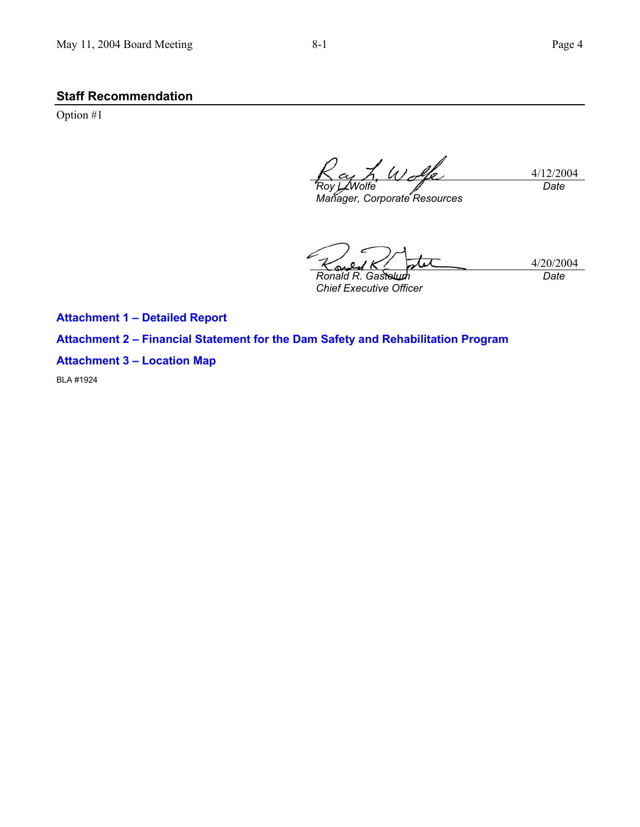# **Staff Recommendation**

Option #1

4/12/2004 *Roy L. Wolfe Manager, Corporate Resources Date* 

4/20/2004 *Ronald R. Gastelum* 

*Chief Executive Officer* 

*Date* 

**Attachment 1 – Detailed Report** 

**Attachment 2 – Financial Statement for the Dam Safety and Rehabilitation Program** 

## **Attachment 3 – Location Map**

BLA #1924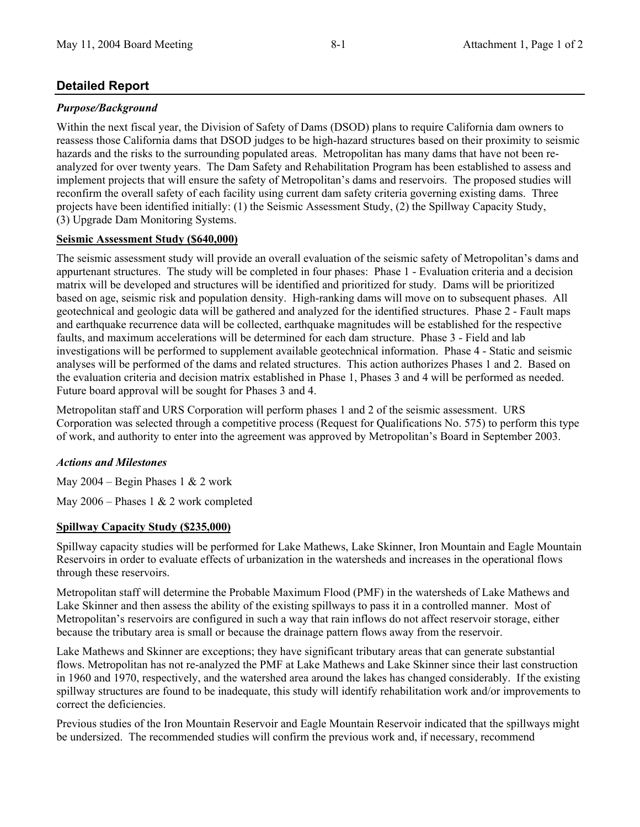# **Detailed Report**

# *Purpose/Background*

Within the next fiscal year, the Division of Safety of Dams (DSOD) plans to require California dam owners to reassess those California dams that DSOD judges to be high-hazard structures based on their proximity to seismic hazards and the risks to the surrounding populated areas. Metropolitan has many dams that have not been reanalyzed for over twenty years. The Dam Safety and Rehabilitation Program has been established to assess and implement projects that will ensure the safety of Metropolitan's dams and reservoirs. The proposed studies will reconfirm the overall safety of each facility using current dam safety criteria governing existing dams. Three projects have been identified initially: (1) the Seismic Assessment Study, (2) the Spillway Capacity Study, (3) Upgrade Dam Monitoring Systems.

# **Seismic Assessment Study (\$640,000)**

The seismic assessment study will provide an overall evaluation of the seismic safety of Metropolitan's dams and appurtenant structures. The study will be completed in four phases: Phase 1 - Evaluation criteria and a decision matrix will be developed and structures will be identified and prioritized for study. Dams will be prioritized based on age, seismic risk and population density. High-ranking dams will move on to subsequent phases. All geotechnical and geologic data will be gathered and analyzed for the identified structures. Phase 2 - Fault maps and earthquake recurrence data will be collected, earthquake magnitudes will be established for the respective faults, and maximum accelerations will be determined for each dam structure. Phase 3 - Field and lab investigations will be performed to supplement available geotechnical information. Phase 4 - Static and seismic analyses will be performed of the dams and related structures. This action authorizes Phases 1 and 2. Based on the evaluation criteria and decision matrix established in Phase 1, Phases 3 and 4 will be performed as needed. Future board approval will be sought for Phases 3 and 4.

Metropolitan staff and URS Corporation will perform phases 1 and 2 of the seismic assessment. URS Corporation was selected through a competitive process (Request for Qualifications No. 575) to perform this type of work, and authority to enter into the agreement was approved by Metropolitan's Board in September 2003.

# *Actions and Milestones*

May 2004 – Begin Phases 1  $& 2$  work

May 2006 – Phases 1 & 2 work completed

# **Spillway Capacity Study (\$235,000)**

Spillway capacity studies will be performed for Lake Mathews, Lake Skinner, Iron Mountain and Eagle Mountain Reservoirs in order to evaluate effects of urbanization in the watersheds and increases in the operational flows through these reservoirs.

Metropolitan staff will determine the Probable Maximum Flood (PMF) in the watersheds of Lake Mathews and Lake Skinner and then assess the ability of the existing spillways to pass it in a controlled manner. Most of Metropolitan's reservoirs are configured in such a way that rain inflows do not affect reservoir storage, either because the tributary area is small or because the drainage pattern flows away from the reservoir.

Lake Mathews and Skinner are exceptions; they have significant tributary areas that can generate substantial flows. Metropolitan has not re-analyzed the PMF at Lake Mathews and Lake Skinner since their last construction in 1960 and 1970, respectively, and the watershed area around the lakes has changed considerably. If the existing spillway structures are found to be inadequate, this study will identify rehabilitation work and/or improvements to correct the deficiencies.

Previous studies of the Iron Mountain Reservoir and Eagle Mountain Reservoir indicated that the spillways might be undersized. The recommended studies will confirm the previous work and, if necessary, recommend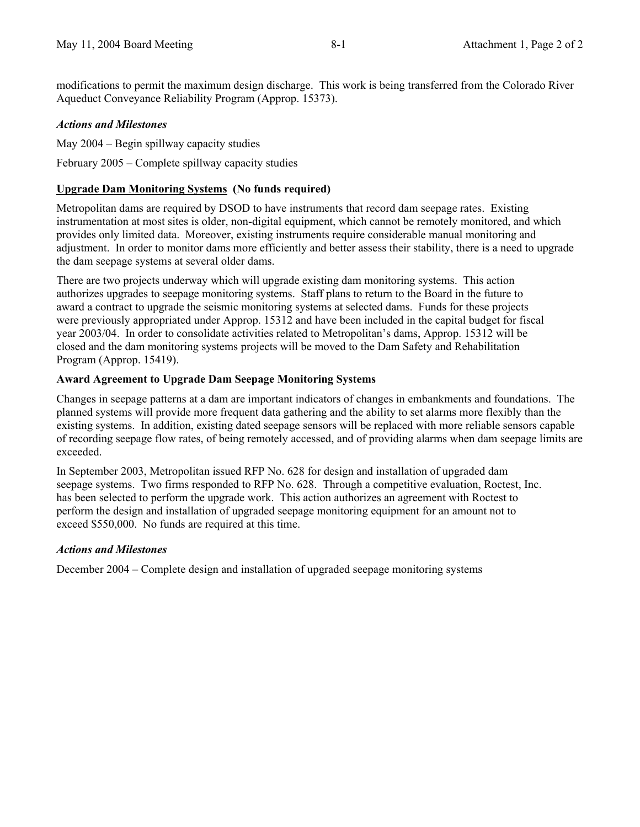modifications to permit the maximum design discharge. This work is being transferred from the Colorado River Aqueduct Conveyance Reliability Program (Approp. 15373).

### *Actions and Milestones*

May 2004 – Begin spillway capacity studies

February 2005 – Complete spillway capacity studies

### **Upgrade Dam Monitoring Systems (No funds required)**

Metropolitan dams are required by DSOD to have instruments that record dam seepage rates. Existing instrumentation at most sites is older, non-digital equipment, which cannot be remotely monitored, and which provides only limited data. Moreover, existing instruments require considerable manual monitoring and adjustment. In order to monitor dams more efficiently and better assess their stability, there is a need to upgrade the dam seepage systems at several older dams.

There are two projects underway which will upgrade existing dam monitoring systems. This action authorizes upgrades to seepage monitoring systems. Staff plans to return to the Board in the future to award a contract to upgrade the seismic monitoring systems at selected dams. Funds for these projects were previously appropriated under Approp. 15312 and have been included in the capital budget for fiscal year 2003/04. In order to consolidate activities related to Metropolitan's dams, Approp. 15312 will be closed and the dam monitoring systems projects will be moved to the Dam Safety and Rehabilitation Program (Approp. 15419).

### **Award Agreement to Upgrade Dam Seepage Monitoring Systems**

Changes in seepage patterns at a dam are important indicators of changes in embankments and foundations. The planned systems will provide more frequent data gathering and the ability to set alarms more flexibly than the existing systems. In addition, existing dated seepage sensors will be replaced with more reliable sensors capable of recording seepage flow rates, of being remotely accessed, and of providing alarms when dam seepage limits are exceeded.

In September 2003, Metropolitan issued RFP No. 628 for design and installation of upgraded dam seepage systems. Two firms responded to RFP No. 628. Through a competitive evaluation, Roctest, Inc. has been selected to perform the upgrade work. This action authorizes an agreement with Roctest to perform the design and installation of upgraded seepage monitoring equipment for an amount not to exceed \$550,000. No funds are required at this time.

### *Actions and Milestones*

December 2004 – Complete design and installation of upgraded seepage monitoring systems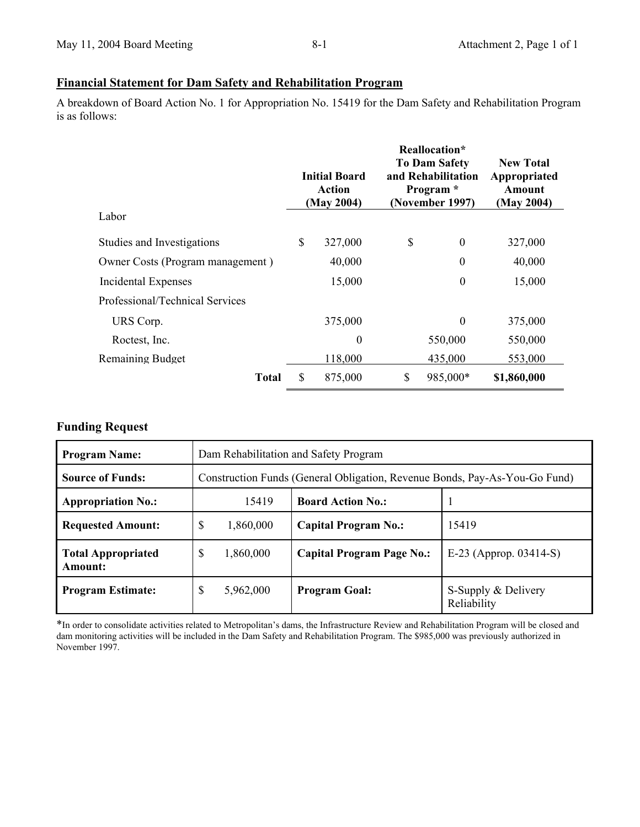## **Financial Statement for Dam Safety and Rehabilitation Program**

A breakdown of Board Action No. 1 for Appropriation No. 15419 for the Dam Safety and Rehabilitation Program is as follows:

|                                  | <b>Initial Board</b><br><b>Action</b><br>(May 2004) |                  | Reallocation*<br><b>To Dam Safety</b><br>and Rehabilitation<br>Program *<br>(November 1997) |                  | <b>New Total</b><br>Appropriated<br>Amount<br>(May 2004) |
|----------------------------------|-----------------------------------------------------|------------------|---------------------------------------------------------------------------------------------|------------------|----------------------------------------------------------|
| Labor                            |                                                     |                  |                                                                                             |                  |                                                          |
| Studies and Investigations       | \$                                                  | 327,000          | \$                                                                                          | $\boldsymbol{0}$ | 327,000                                                  |
| Owner Costs (Program management) |                                                     | 40,000           |                                                                                             | 0                | 40,000                                                   |
| Incidental Expenses              |                                                     | 15,000           |                                                                                             | $\boldsymbol{0}$ | 15,000                                                   |
| Professional/Technical Services  |                                                     |                  |                                                                                             |                  |                                                          |
| URS Corp.                        |                                                     | 375,000          |                                                                                             | $\boldsymbol{0}$ | 375,000                                                  |
| Roctest, Inc.                    |                                                     | $\boldsymbol{0}$ |                                                                                             | 550,000          | 550,000                                                  |
| <b>Remaining Budget</b>          |                                                     | 118,000          |                                                                                             | 435,000          | 553,000                                                  |
| Total                            | \$                                                  | 875,000          | \$                                                                                          | 985,000*         | \$1,860,000                                              |

# **Funding Request**

| <b>Program Name:</b>                 | Dam Rehabilitation and Safety Program                                      |                                  |                                    |  |  |
|--------------------------------------|----------------------------------------------------------------------------|----------------------------------|------------------------------------|--|--|
| <b>Source of Funds:</b>              | Construction Funds (General Obligation, Revenue Bonds, Pay-As-You-Go Fund) |                                  |                                    |  |  |
| <b>Appropriation No.:</b>            | 15419                                                                      | <b>Board Action No.:</b>         |                                    |  |  |
| <b>Requested Amount:</b>             | \$<br>1,860,000                                                            | <b>Capital Program No.:</b>      | 15419                              |  |  |
| <b>Total Appropriated</b><br>Amount: | \$<br>1,860,000                                                            | <b>Capital Program Page No.:</b> | E-23 (Approp. $03414-S$ )          |  |  |
| <b>Program Estimate:</b>             | \$<br>5,962,000                                                            | <b>Program Goal:</b>             | S-Supply & Delivery<br>Reliability |  |  |

\*In order to consolidate activities related to Metropolitan's dams, the Infrastructure Review and Rehabilitation Program will be closed and dam monitoring activities will be included in the Dam Safety and Rehabilitation Program. The \$985,000 was previously authorized in November 1997.